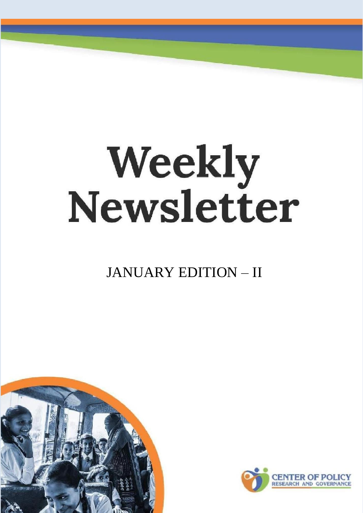# **Weekly<br>Newsletter**

JANUARY EDITION – II



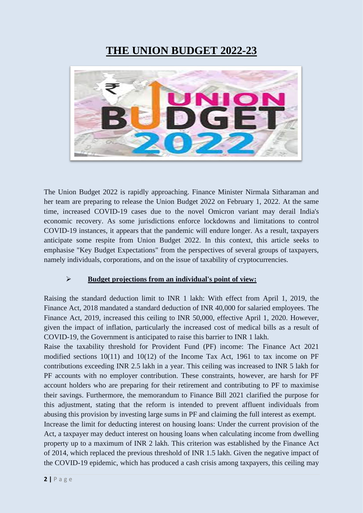## **THE UNION BUDGET 2022-23**



The Union Budget 2022 is rapidly approaching. Finance Minister Nirmala Sitharaman and her team are preparing to release the Union Budget 2022 on February 1, 2022. At the same time, increased COVID-19 cases due to the novel Omicron variant may derail India's economic recovery. As some jurisdictions enforce lockdowns and limitations to control COVID-19 instances, it appears that the pandemic will endure longer. As a result, taxpayers anticipate some respite from Union Budget 2022. In this context, this article seeks to emphasise "Key Budget Expectations" from the perspectives of several groups of taxpayers, namely individuals, corporations, and on the issue of taxability of cryptocurrencies.

#### ➢ **Budget projections from an individual's point of view:**

Raising the standard deduction limit to INR 1 lakh: With effect from April 1, 2019, the Finance Act, 2018 mandated a standard deduction of INR 40,000 for salaried employees. The Finance Act, 2019, increased this ceiling to INR 50,000, effective April 1, 2020. However, given the impact of inflation, particularly the increased cost of medical bills as a result of COVID-19, the Government is anticipated to raise this barrier to INR 1 lakh.

Raise the taxability threshold for Provident Fund (PF) income: The Finance Act 2021 modified sections 10(11) and 10(12) of the Income Tax Act, 1961 to tax income on PF contributions exceeding INR 2.5 lakh in a year. This ceiling was increased to INR 5 lakh for PF accounts with no employer contribution. These constraints, however, are harsh for PF account holders who are preparing for their retirement and contributing to PF to maximise their savings. Furthermore, the memorandum to Finance Bill 2021 clarified the purpose for this adjustment, stating that the reform is intended to prevent affluent individuals from abusing this provision by investing large sums in PF and claiming the full interest as exempt.

Increase the limit for deducting interest on housing loans: Under the current provision of the Act, a taxpayer may deduct interest on housing loans when calculating income from dwelling property up to a maximum of INR 2 lakh. This criterion was established by the Finance Act of 2014, which replaced the previous threshold of INR 1.5 lakh. Given the negative impact of the COVID-19 epidemic, which has produced a cash crisis among taxpayers, this ceiling may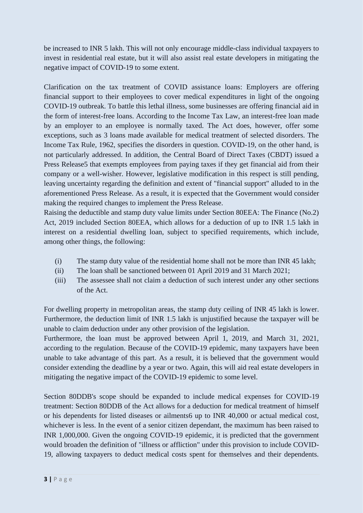be increased to INR 5 lakh. This will not only encourage middle-class individual taxpayers to invest in residential real estate, but it will also assist real estate developers in mitigating the negative impact of COVID-19 to some extent.

Clarification on the tax treatment of COVID assistance loans: Employers are offering financial support to their employees to cover medical expenditures in light of the ongoing COVID-19 outbreak. To battle this lethal illness, some businesses are offering financial aid in the form of interest-free loans. According to the Income Tax Law, an interest-free loan made by an employer to an employee is normally taxed. The Act does, however, offer some exceptions, such as 3 loans made available for medical treatment of selected disorders. The Income Tax Rule, 1962, specifies the disorders in question. COVID-19, on the other hand, is not particularly addressed. In addition, the Central Board of Direct Taxes (CBDT) issued a Press Release5 that exempts employees from paying taxes if they get financial aid from their company or a well-wisher. However, legislative modification in this respect is still pending, leaving uncertainty regarding the definition and extent of "financial support" alluded to in the aforementioned Press Release. As a result, it is expected that the Government would consider making the required changes to implement the Press Release.

Raising the deductible and stamp duty value limits under Section 80EEA: The Finance (No.2) Act, 2019 included Section 80EEA, which allows for a deduction of up to INR 1.5 lakh in interest on a residential dwelling loan, subject to specified requirements, which include, among other things, the following:

- (i) The stamp duty value of the residential home shall not be more than INR 45 lakh;
- (ii) The loan shall be sanctioned between 01 April 2019 and 31 March 2021;
- (iii) The assessee shall not claim a deduction of such interest under any other sections of the Act.

For dwelling property in metropolitan areas, the stamp duty ceiling of INR 45 lakh is lower. Furthermore, the deduction limit of INR 1.5 lakh is unjustified because the taxpayer will be unable to claim deduction under any other provision of the legislation.

Furthermore, the loan must be approved between April 1, 2019, and March 31, 2021, according to the regulation. Because of the COVID-19 epidemic, many taxpayers have been unable to take advantage of this part. As a result, it is believed that the government would consider extending the deadline by a year or two. Again, this will aid real estate developers in mitigating the negative impact of the COVID-19 epidemic to some level.

Section 80DDB's scope should be expanded to include medical expenses for COVID-19 treatment: Section 80DDB of the Act allows for a deduction for medical treatment of himself or his dependents for listed diseases or ailments6 up to INR 40,000 or actual medical cost, whichever is less. In the event of a senior citizen dependant, the maximum has been raised to INR 1,000,000. Given the ongoing COVID-19 epidemic, it is predicted that the government would broaden the definition of "illness or affliction" under this provision to include COVID-19, allowing taxpayers to deduct medical costs spent for themselves and their dependents.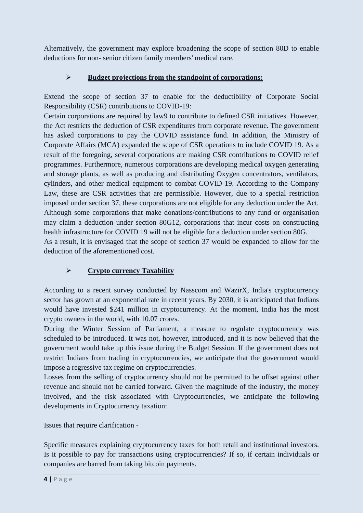Alternatively, the government may explore broadening the scope of section 80D to enable deductions for non- senior citizen family members' medical care.

#### ➢ **Budget projections from the standpoint of corporations:**

Extend the scope of section 37 to enable for the deductibility of Corporate Social Responsibility (CSR) contributions to COVID-19:

Certain corporations are required by law9 to contribute to defined CSR initiatives. However, the Act restricts the deduction of CSR expenditures from corporate revenue. The government has asked corporations to pay the COVID assistance fund. In addition, the Ministry of Corporate Affairs (MCA) expanded the scope of CSR operations to include COVID 19. As a result of the foregoing, several corporations are making CSR contributions to COVID relief programmes. Furthermore, numerous corporations are developing medical oxygen generating and storage plants, as well as producing and distributing Oxygen concentrators, ventilators, cylinders, and other medical equipment to combat COVID-19. According to the Company Law, these are CSR activities that are permissible. However, due to a special restriction imposed under section 37, these corporations are not eligible for any deduction under the Act. Although some corporations that make donations/contributions to any fund or organisation may claim a deduction under section 80G12, corporations that incur costs on constructing health infrastructure for COVID 19 will not be eligible for a deduction under section 80G. As a result, it is envisaged that the scope of section 37 would be expanded to allow for the deduction of the aforementioned cost.

➢ **Crypto currency Taxability**

According to a recent survey conducted by Nasscom and WazirX, India's cryptocurrency sector has grown at an exponential rate in recent years. By 2030, it is anticipated that Indians would have invested \$241 million in cryptocurrency. At the moment, India has the most crypto owners in the world, with 10.07 crores.

During the Winter Session of Parliament, a measure to regulate cryptocurrency was scheduled to be introduced. It was not, however, introduced, and it is now believed that the government would take up this issue during the Budget Session. If the government does not restrict Indians from trading in cryptocurrencies, we anticipate that the government would impose a regressive tax regime on cryptocurrencies.

Losses from the selling of cryptocurrency should not be permitted to be offset against other revenue and should not be carried forward. Given the magnitude of the industry, the money involved, and the risk associated with Cryptocurrencies, we anticipate the following developments in Cryptocurrency taxation:

Issues that require clarification -

Specific measures explaining cryptocurrency taxes for both retail and institutional investors. Is it possible to pay for transactions using cryptocurrencies? If so, if certain individuals or companies are barred from taking bitcoin payments.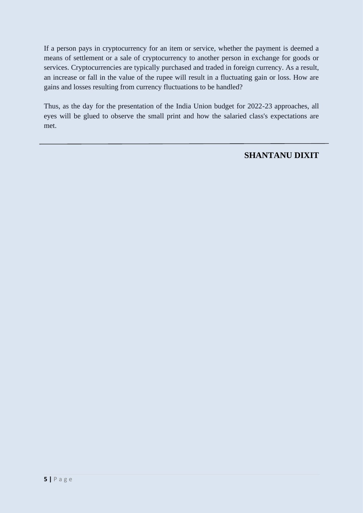If a person pays in cryptocurrency for an item or service, whether the payment is deemed a means of settlement or a sale of cryptocurrency to another person in exchange for goods or services. Cryptocurrencies are typically purchased and traded in foreign currency. As a result, an increase or fall in the value of the rupee will result in a fluctuating gain or loss. How are gains and losses resulting from currency fluctuations to be handled?

Thus, as the day for the presentation of the India Union budget for 2022-23 approaches, all eyes will be glued to observe the small print and how the salaried class's expectations are met.

#### **SHANTANU DIXIT**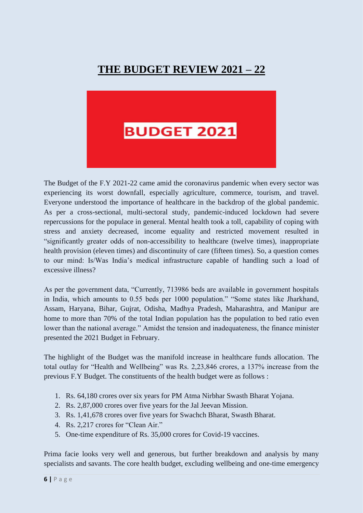# **THE BUDGET REVIEW 2021 – 22**



The Budget of the F.Y 2021-22 came amid the coronavirus pandemic when every sector was experiencing its worst downfall, especially agriculture, commerce, tourism, and travel. Everyone understood the importance of healthcare in the backdrop of the global pandemic. As per a cross-sectional, multi-sectoral study, pandemic-induced lockdown had severe repercussions for the populace in general. Mental health took a toll, capability of coping with stress and anxiety decreased, income equality and restricted movement resulted in "significantly greater odds of non-accessibility to healthcare (twelve times), inappropriate health provision (eleven times) and discontinuity of care (fifteen times). So, a question comes to our mind: Is/Was India's medical infrastructure capable of handling such a load of excessive illness?

As per the government data, "Currently, 713986 beds are available in government hospitals in India, which amounts to 0.55 beds per 1000 population." "Some states like Jharkhand, Assam, Haryana, Bihar, Gujrat, Odisha, Madhya Pradesh, Maharashtra, and Manipur are home to more than 70% of the total Indian population has the population to bed ratio even lower than the national average." Amidst the tension and inadequateness, the finance minister presented the 2021 Budget in February.

The highlight of the Budget was the manifold increase in healthcare funds allocation. The total outlay for "Health and Wellbeing" was Rs. 2,23,846 crores, a 137% increase from the previous F.Y Budget. The constituents of the health budget were as follows :

- 1. Rs. 64,180 crores over six years for PM Atma Nirbhar Swasth Bharat Yojana.
- 2. Rs. 2,87,000 crores over five years for the Jal Jeevan Mission.
- 3. Rs. 1,41,678 crores over five years for Swachch Bharat, Swasth Bharat.
- 4. Rs. 2,217 crores for "Clean Air."
- 5. One-time expenditure of Rs. 35,000 crores for Covid-19 vaccines.

Prima facie looks very well and generous, but further breakdown and analysis by many specialists and savants. The core health budget, excluding wellbeing and one-time emergency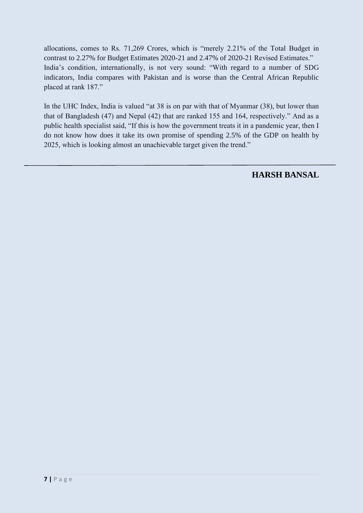allocations, comes to Rs. 71,269 Crores, which is "merely 2.21% of the Total Budget in contrast to 2.27% for Budget Estimates 2020-21 and 2.47% of 2020-21 Revised Estimates." India's condition, internationally, is not very sound: "With regard to a number of SDG indicators, India compares with Pakistan and is worse than the Central African Republic placed at rank 187."

In the UHC Index, India is valued "at 38 is on par with that of Myanmar (38), but lower than that of Bangladesh (47) and Nepal (42) that are ranked 155 and 164, respectively." And as a public health specialist said, "If this is how the government treats it in a pandemic year, then I do not know how does it take its own promise of spending 2.5% of the GDP on health by 2025, which is looking almost an unachievable target given the trend."

**HARSH BANSAL**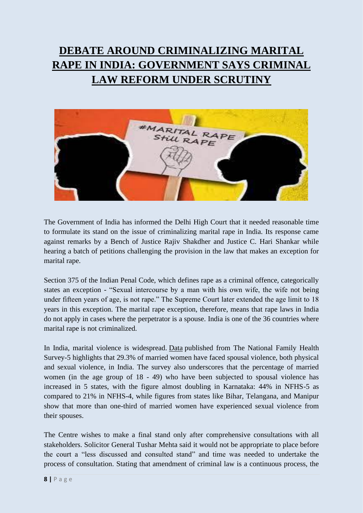# **DEBATE AROUND CRIMINALIZING MARITAL RAPE IN INDIA: GOVERNMENT SAYS CRIMINAL LAW REFORM UNDER SCRUTINY**



The Government of India has informed the Delhi High Court that it needed reasonable time to formulate its stand on the issue of criminalizing marital rape in India. Its response came against remarks by a Bench of Justice Rajiv Shakdher and Justice C. Hari Shankar while hearing a batch of petitions challenging the provision in the law that makes an exception for marital rape.

Section 375 of the Indian Penal Code, which defines rape as a criminal offence, categorically states an exception - "Sexual intercourse by a man with his own wife, the wife not being under fifteen years of age, is not rape." The Supreme Court later extended the age limit to 18 years in this exception. The marital rape exception, therefore, means that rape laws in India do not apply in cases where the perpetrator is a spouse. India is one of the 36 countries where marital rape is not criminalized.

In India, marital violence is widespread. [Data](http://rchiips.org/nfhs/NFHS-5_FCTS/India.pdf) published from The National Family Health Survey-5 highlights that 29.3% of married women have faced spousal violence, both physical and sexual violence, in India. The survey also underscores that the percentage of married women (in the age group of 18 - 49) who have been subjected to spousal violence has increased in 5 states, with the figure almost doubling in Karnataka: 44% in NFHS-5 as compared to 21% in NFHS-4, while figures from states like Bihar, Telangana, and Manipur show that more than one-third of married women have experienced sexual violence from their spouses.

The Centre wishes to make a final stand only after comprehensive consultations with all stakeholders. Solicitor General Tushar Mehta said it would not be appropriate to place before the court a "less discussed and consulted stand" and time was needed to undertake the process of consultation. Stating that amendment of criminal law is a continuous process, the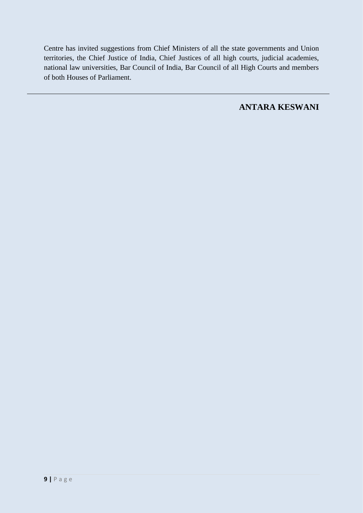Centre has invited suggestions from Chief Ministers of all the state governments and Union territories, the Chief Justice of India, Chief Justices of all high courts, judicial academies, national law universities, Bar Council of India, Bar Council of all High Courts and members of both Houses of Parliament.

**ANTARA KESWANI**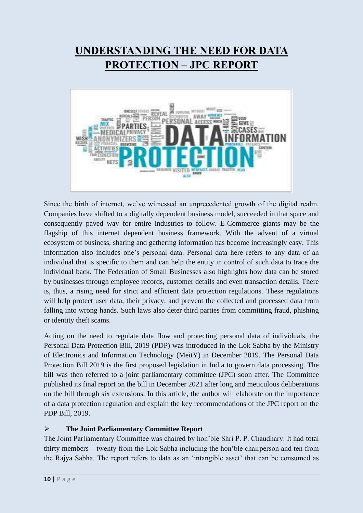# **UNDERSTANDING THE NEED FOR DATA PROTECTION – JPC REPORT**



Since the birth of internet, we've witnessed an unprecedented growth of the digital realm. Companies have shifted to a digitally dependent business model, succeeded in that space and consequently paved way for entire industries to follow. E-Commerce giants may be the flagship of this internet dependent business framework. With the advent of a virtual ecosystem of business, sharing and gathering information has become increasingly easy. This information also includes one's personal data. Personal data here refers to any data of an individual that is specific to them and can help the entity in control of such data to trace the individual back. The Federation of Small Businesses also highlights how data can be stored by businesses through employee records, customer details and even transaction details. There is, thus, a rising need for strict and efficient data protection regulations. These regulations will help protect user data, their privacy, and prevent the collected and processed data from falling into wrong hands. Such laws also deter third parties from committing fraud, phishing or identity theft scams.

Acting on the need to regulate data flow and protecting personal data of individuals, the Personal Data Protection Bill, 2019 (PDP) was introduced in the Lok Sabha by the Ministry of Electronics and Information Technology (MeitY) in December 2019. The Personal Data Protection Bill 2019 is the first proposed legislation in India to govern data processing. The bill was then referred to a joint parliamentary committee (JPC) soon after. The Committee published its final report on the bill in December 2021 after long and meticulous deliberations on the bill through six extensions. In this article, the author will elaborate on the importance of a data protection regulation and explain the key recommendations of the JPC report on the PDP Bill, 2019.

#### ➢ **The Joint Parliamentary Committee Report**

The Joint Parliamentary Committee was chaired by hon'ble Shri P. P. Chaudhary. It had total thirty members – twenty from the Lok Sabha including the hon'ble chairperson and ten from the Rajya Sabha. The report refers to data as an 'intangible asset' that can be consumed as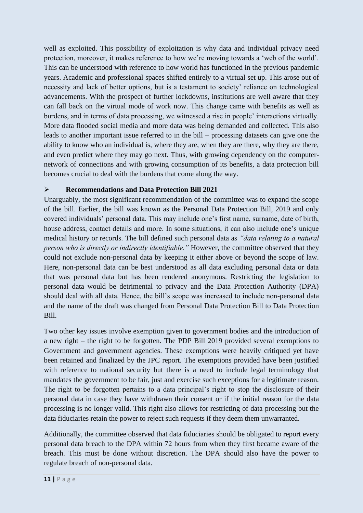well as exploited. This possibility of exploitation is why data and individual privacy need protection, moreover, it makes reference to how we're moving towards a 'web of the world'. This can be understood with reference to how world has functioned in the previous pandemic years. Academic and professional spaces shifted entirely to a virtual set up. This arose out of necessity and lack of better options, but is a testament to society' reliance on technological advancements. With the prospect of further lockdowns, institutions are well aware that they can fall back on the virtual mode of work now. This change came with benefits as well as burdens, and in terms of data processing, we witnessed a rise in people' interactions virtually. More data flooded social media and more data was being demanded and collected. This also leads to another important issue referred to in the bill – processing datasets can give one the ability to know who an individual is, where they are, when they are there, why they are there, and even predict where they may go next. Thus, with growing dependency on the computernetwork of connections and with growing consumption of its benefits, a data protection bill becomes crucial to deal with the burdens that come along the way.

#### ➢ **Recommendations and Data Protection Bill 2021**

Unarguably, the most significant recommendation of the committee was to expand the scope of the bill. Earlier, the bill was known as the Personal Data Protection Bill, 2019 and only covered individuals' personal data. This may include one's first name, surname, date of birth, house address, contact details and more. In some situations, it can also include one's unique medical history or records. The bill defined such personal data as *"data relating to a natural person who is directly or indirectly identifiable."* However, the committee observed that they could not exclude non-personal data by keeping it either above or beyond the scope of law. Here, non-personal data can be best understood as all data excluding personal data or data that was personal data but has been rendered anonymous. Restricting the legislation to personal data would be detrimental to privacy and the Data Protection Authority (DPA) should deal with all data. Hence, the bill's scope was increased to include non-personal data and the name of the draft was changed from Personal Data Protection Bill to Data Protection Bill.

Two other key issues involve exemption given to government bodies and the introduction of a new right – the right to be forgotten. The PDP Bill 2019 provided several exemptions to Government and government agencies. These exemptions were heavily critiqued yet have been retained and finalized by the JPC report. The exemptions provided have been justified with reference to national security but there is a need to include legal terminology that mandates the government to be fair, just and exercise such exceptions for a legitimate reason. The right to be forgotten pertains to a data principal's right to stop the disclosure of their personal data in case they have withdrawn their consent or if the initial reason for the data processing is no longer valid. This right also allows for restricting of data processing but the data fiduciaries retain the power to reject such requests if they deem them unwarranted.

Additionally, the committee observed that data fiduciaries should be obligated to report every personal data breach to the DPA within 72 hours from when they first became aware of the breach. This must be done without discretion. The DPA should also have the power to regulate breach of non-personal data.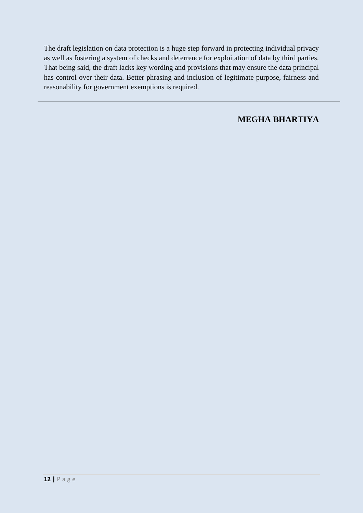The draft legislation on data protection is a huge step forward in protecting individual privacy as well as fostering a system of checks and deterrence for exploitation of data by third parties. That being said, the draft lacks key wording and provisions that may ensure the data principal has control over their data. Better phrasing and inclusion of legitimate purpose, fairness and reasonability for government exemptions is required.

#### **MEGHA BHARTIYA**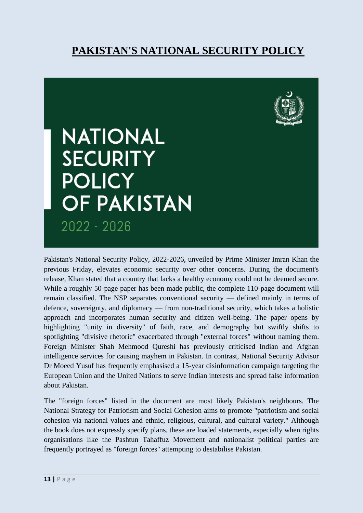# **PAKISTAN'S NATIONAL SECURITY POLICY**



# **NATIONAL SECURITY POLICY OF PAKISTAN** 2022 - 2026

Pakistan's National Security Policy, 2022-2026, unveiled by Prime Minister Imran Khan the previous Friday, elevates economic security over other concerns. During the document's release, Khan stated that a country that lacks a healthy economy could not be deemed secure. While a roughly 50-page paper has been made public, the complete 110-page document will remain classified. The NSP separates conventional security — defined mainly in terms of defence, sovereignty, and diplomacy — from non-traditional security, which takes a holistic approach and incorporates human security and citizen well-being. The paper opens by highlighting "unity in diversity" of faith, race, and demography but swiftly shifts to spotlighting "divisive rhetoric" exacerbated through "external forces" without naming them. Foreign Minister Shah Mehmood Qureshi has previously criticised Indian and Afghan intelligence services for causing mayhem in Pakistan. In contrast, National Security Advisor Dr Moeed Yusuf has frequently emphasised a 15-year disinformation campaign targeting the European Union and the United Nations to serve Indian interests and spread false information about Pakistan.

The "foreign forces" listed in the document are most likely Pakistan's neighbours. The National Strategy for Patriotism and Social Cohesion aims to promote "patriotism and social cohesion via national values and ethnic, religious, cultural, and cultural variety." Although the book does not expressly specify plans, these are loaded statements, especially when rights organisations like the Pashtun Tahaffuz Movement and nationalist political parties are frequently portrayed as "foreign forces" attempting to destabilise Pakistan.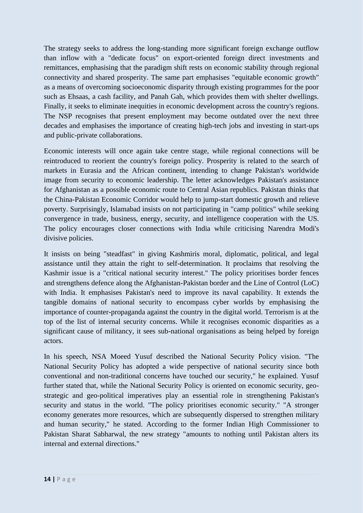The strategy seeks to address the long-standing more significant foreign exchange outflow than inflow with a "dedicate focus" on export-oriented foreign direct investments and remittances, emphasising that the paradigm shift rests on economic stability through regional connectivity and shared prosperity. The same part emphasises "equitable economic growth" as a means of overcoming socioeconomic disparity through existing programmes for the poor such as Ehsaas, a cash facility, and Panah Gah, which provides them with shelter dwellings. Finally, it seeks to eliminate inequities in economic development across the country's regions. The NSP recognises that present employment may become outdated over the next three decades and emphasises the importance of creating high-tech jobs and investing in start-ups and public-private collaborations.

Economic interests will once again take centre stage, while regional connections will be reintroduced to reorient the country's foreign policy. Prosperity is related to the search of markets in Eurasia and the African continent, intending to change Pakistan's worldwide image from security to economic leadership. The letter acknowledges Pakistan's assistance for Afghanistan as a possible economic route to Central Asian republics. Pakistan thinks that the China-Pakistan Economic Corridor would help to jump-start domestic growth and relieve poverty. Surprisingly, Islamabad insists on not participating in "camp politics" while seeking convergence in trade, business, energy, security, and intelligence cooperation with the US. The policy encourages closer connections with India while criticising Narendra Modi's divisive policies.

It insists on being "steadfast" in giving Kashmiris moral, diplomatic, political, and legal assistance until they attain the right to self-determination. It proclaims that resolving the Kashmir issue is a "critical national security interest." The policy prioritises border fences and strengthens defence along the Afghanistan-Pakistan border and the Line of Control (LoC) with India. It emphasises Pakistan's need to improve its naval capability. It extends the tangible domains of national security to encompass cyber worlds by emphasising the importance of counter-propaganda against the country in the digital world. Terrorism is at the top of the list of internal security concerns. While it recognises economic disparities as a significant cause of militancy, it sees sub-national organisations as being helped by foreign actors.

In his speech, NSA Moeed Yusuf described the National Security Policy vision. "The National Security Policy has adopted a wide perspective of national security since both conventional and non-traditional concerns have touched our security," he explained. Yusuf further stated that, while the National Security Policy is oriented on economic security, geostrategic and geo-political imperatives play an essential role in strengthening Pakistan's security and status in the world. "The policy prioritises economic security." "A stronger economy generates more resources, which are subsequently dispersed to strengthen military and human security," he stated. According to the former Indian High Commissioner to Pakistan Sharat Sabharwal, the new strategy "amounts to nothing until Pakistan alters its internal and external directions."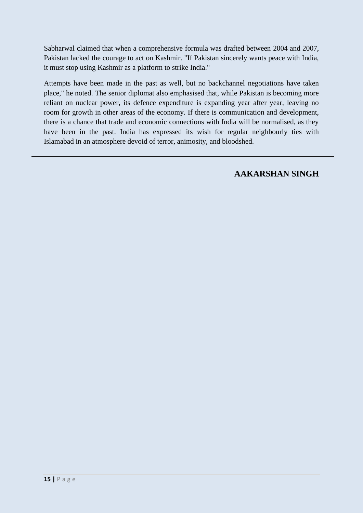Sabharwal claimed that when a comprehensive formula was drafted between 2004 and 2007, Pakistan lacked the courage to act on Kashmir. "If Pakistan sincerely wants peace with India, it must stop using Kashmir as a platform to strike India."

Attempts have been made in the past as well, but no backchannel negotiations have taken place," he noted. The senior diplomat also emphasised that, while Pakistan is becoming more reliant on nuclear power, its defence expenditure is expanding year after year, leaving no room for growth in other areas of the economy. If there is communication and development, there is a chance that trade and economic connections with India will be normalised, as they have been in the past. India has expressed its wish for regular neighbourly ties with Islamabad in an atmosphere devoid of terror, animosity, and bloodshed.

**AAKARSHAN SINGH**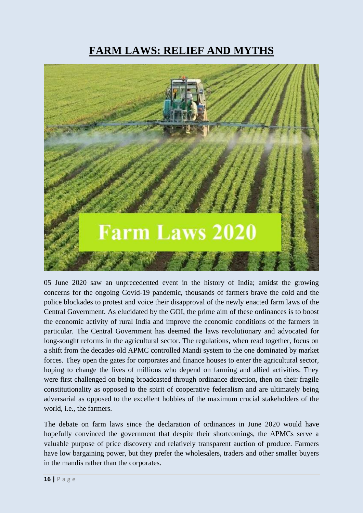# **FARM LAWS: RELIEF AND MYTHS**



05 June 2020 saw an unprecedented event in the history of India; amidst the growing concerns for the ongoing Covid-19 pandemic, thousands of farmers brave the cold and the police blockades to protest and voice their disapproval of the newly enacted farm laws of the Central Government. As elucidated by the GOI, the prime aim of these ordinances is to boost the economic activity of rural India and improve the economic conditions of the farmers in particular. The Central Government has deemed the laws revolutionary and advocated for long-sought reforms in the agricultural sector. The regulations, when read together, focus on a shift from the decades-old APMC controlled Mandi system to the one dominated by market forces. They open the gates for corporates and finance houses to enter the agricultural sector, hoping to change the lives of millions who depend on farming and allied activities. They were first challenged on being broadcasted through ordinance direction, then on their fragile constitutionality as opposed to the spirit of cooperative federalism and are ultimately being adversarial as opposed to the excellent hobbies of the maximum crucial stakeholders of the world, i.e., the farmers.

The debate on farm laws since the declaration of ordinances in June 2020 would have hopefully convinced the government that despite their shortcomings, the APMCs serve a valuable purpose of price discovery and relatively transparent auction of produce. Farmers have low bargaining power, but they prefer the wholesalers, traders and other smaller buyers in the mandis rather than the corporates.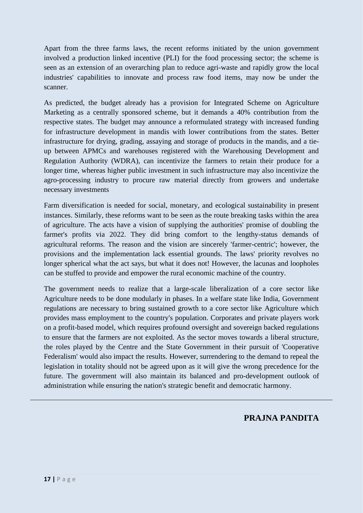Apart from the three farms laws, the recent reforms initiated by the union government involved a production linked incentive (PLI) for the food processing sector; the scheme is seen as an extension of an overarching plan to reduce agri-waste and rapidly grow the local industries' capabilities to innovate and process raw food items, may now be under the scanner.

As predicted, the budget already has a provision for Integrated Scheme on Agriculture Marketing as a centrally sponsored scheme, but it demands a 40% contribution from the respective states. The budget may announce a reformulated strategy with increased funding for infrastructure development in mandis with lower contributions from the states. Better infrastructure for drying, grading, assaying and storage of products in the mandis, and a tieup between APMCs and warehouses registered with the Warehousing Development and Regulation Authority (WDRA), can incentivize the farmers to retain their produce for a longer time, whereas higher public investment in such infrastructure may also incentivize the agro-processing industry to procure raw material directly from growers and undertake necessary investments

Farm diversification is needed for social, monetary, and ecological sustainability in present instances. Similarly, these reforms want to be seen as the route breaking tasks within the area of agriculture. The acts have a vision of supplying the authorities' promise of doubling the farmer's profits via 2022. They did bring comfort to the lengthy-status demands of agricultural reforms. The reason and the vision are sincerely 'farmer-centric'; however, the provisions and the implementation lack essential grounds. The laws' priority revolves no longer spherical what the act says, but what it does not! However, the lacunas and loopholes can be stuffed to provide and empower the rural economic machine of the country.

The government needs to realize that a large-scale liberalization of a core sector like Agriculture needs to be done modularly in phases. In a welfare state like India, Government regulations are necessary to bring sustained growth to a core sector like Agriculture which provides mass employment to the country's population. Corporates and private players work on a profit-based model, which requires profound oversight and sovereign backed regulations to ensure that the farmers are not exploited. As the sector moves towards a liberal structure, the roles played by the Centre and the State Government in their pursuit of 'Cooperative Federalism' would also impact the results. However, surrendering to the demand to repeal the legislation in totality should not be agreed upon as it will give the wrong precedence for the future. The government will also maintain its balanced and pro-development outlook of administration while ensuring the nation's strategic benefit and democratic harmony.

#### **PRAJNA PANDITA**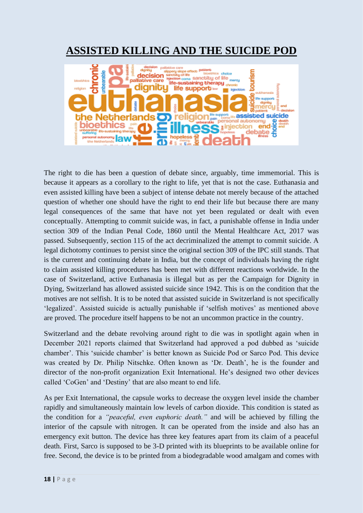# **ASSISTED KILLING AND THE SUICIDE POD**



The right to die has been a question of debate since, arguably, time immemorial. This is because it appears as a corollary to the right to life, yet that is not the case. Euthanasia and even assisted killing have been a subject of intense debate not merely because of the attached question of whether one should have the right to end their life but because there are many legal consequences of the same that have not yet been regulated or dealt with even conceptually. Attempting to commit suicide was, in fact, a punishable offense in India under section 309 of the Indian Penal Code, 1860 until the Mental Healthcare Act, 2017 was passed. Subsequently, section 115 of the act decriminalized the attempt to commit suicide. A legal dichotomy continues to persist since the original section 309 of the IPC still stands. That is the current and continuing debate in India, but the concept of individuals having the right to claim assisted killing procedures has been met with different reactions worldwide. In the case of Switzerland, active Euthanasia is illegal but as per the Campaign for Dignity in Dying, Switzerland has allowed assisted suicide since 1942. This is on the condition that the motives are not selfish. It is to be noted that assisted suicide in Switzerland is not specifically 'legalized'. Assisted suicide is actually punishable if 'selfish motives' as mentioned above are proved. The procedure itself happens to be not an uncommon practice in the country.

Switzerland and the debate revolving around right to die was in spotlight again when in December 2021 reports claimed that Switzerland had approved a pod dubbed as 'suicide chamber'. This 'suicide chamber' is better known as Suicide Pod or Sarco Pod. This device was created by Dr. Philip Nitschke. Often known as 'Dr. Death', he is the founder and director of the non-profit organization Exit International. He's designed two other devices called 'CoGen' and 'Destiny' that are also meant to end life.

As per Exit International, the capsule works to decrease the oxygen level inside the chamber rapidly and simultaneously maintain low levels of carbon dioxide. This condition is stated as the condition for a *"peaceful, even euphoric death."* and will be achieved by filling the interior of the capsule with nitrogen. It can be operated from the inside and also has an emergency exit button. The device has three key features apart from its claim of a peaceful death. First, Sarco is supposed to be 3-D printed with its blueprints to be available online for free. Second, the device is to be printed from a biodegradable wood amalgam and comes with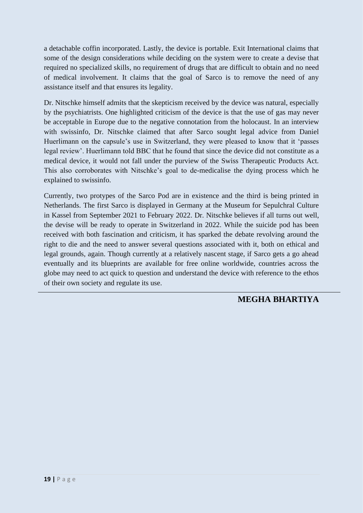a detachable coffin incorporated. Lastly, the device is portable. Exit International claims that some of the design considerations while deciding on the system were to create a devise that required no specialized skills, no requirement of drugs that are difficult to obtain and no need of medical involvement. It claims that the goal of Sarco is to remove the need of any assistance itself and that ensures its legality.

Dr. Nitschke himself admits that the skepticism received by the device was natural, especially by the psychiatrists. One highlighted criticism of the device is that the use of gas may never be acceptable in Europe due to the negative connotation from the holocaust. In an interview with swissinfo, Dr. Nitschke claimed that after Sarco sought legal advice from Daniel Huerlimann on the capsule's use in Switzerland, they were pleased to know that it 'passes legal review'. Huerlimann told BBC that he found that since the device did not constitute as a medical device, it would not fall under the purview of the Swiss Therapeutic Products Act. This also corroborates with Nitschke's goal to de-medicalise the dying process which he explained to swissinfo.

Currently, two protypes of the Sarco Pod are in existence and the third is being printed in Netherlands. The first Sarco is displayed in Germany at the Museum for Sepulchral Culture in Kassel from September 2021 to February 2022. Dr. Nitschke believes if all turns out well, the devise will be ready to operate in Switzerland in 2022. While the suicide pod has been received with both fascination and criticism, it has sparked the debate revolving around the right to die and the need to answer several questions associated with it, both on ethical and legal grounds, again. Though currently at a relatively nascent stage, if Sarco gets a go ahead eventually and its blueprints are available for free online worldwide, countries across the globe may need to act quick to question and understand the device with reference to the ethos of their own society and regulate its use.

### **MEGHA BHARTIYA**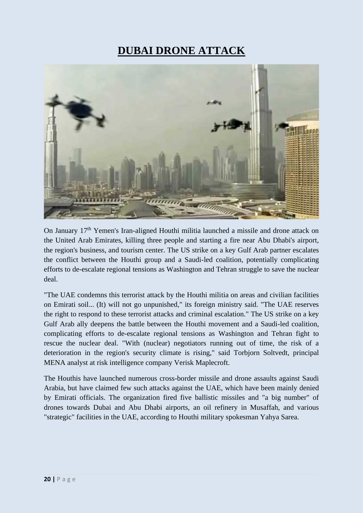# **DUBAI DRONE ATTACK**



On January 17th Yemen's Iran-aligned Houthi militia launched a missile and drone attack on the United Arab Emirates, killing three people and starting a fire near Abu Dhabi's airport, the region's business, and tourism center. The US strike on a key Gulf Arab partner escalates the conflict between the Houthi group and a Saudi-led coalition, potentially complicating efforts to de-escalate regional tensions as Washington and Tehran struggle to save the nuclear deal.

"The UAE condemns this terrorist attack by the Houthi militia on areas and civilian facilities on Emirati soil... (It) will not go unpunished," its foreign ministry said. "The UAE reserves the right to respond to these terrorist attacks and criminal escalation." The US strike on a key Gulf Arab ally deepens the battle between the Houthi movement and a Saudi-led coalition, complicating efforts to de-escalate regional tensions as Washington and Tehran fight to rescue the nuclear deal. "With (nuclear) negotiators running out of time, the risk of a deterioration in the region's security climate is rising," said Torbjorn Soltvedt, principal MENA analyst at risk intelligence company Verisk Maplecroft.

The Houthis have launched numerous cross-border missile and drone assaults against Saudi Arabia, but have claimed few such attacks against the UAE, which have been mainly denied by Emirati officials. The organization fired five ballistic missiles and "a big number" of drones towards Dubai and Abu Dhabi airports, an oil refinery in Musaffah, and various "strategic" facilities in the UAE, according to Houthi military spokesman Yahya Sarea.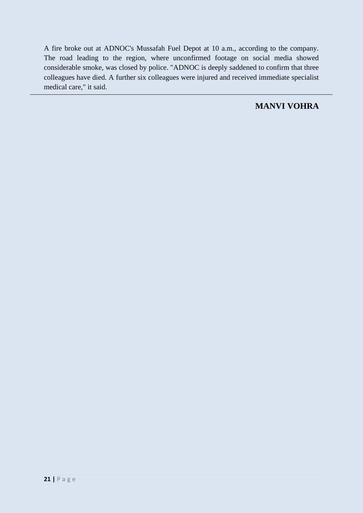A fire broke out at ADNOC's Mussafah Fuel Depot at 10 a.m., according to the company. The road leading to the region, where unconfirmed footage on social media showed considerable smoke, was closed by police. "ADNOC is deeply saddened to confirm that three colleagues have died. A further six colleagues were injured and received immediate specialist medical care," it said.

### **MANVI VOHRA**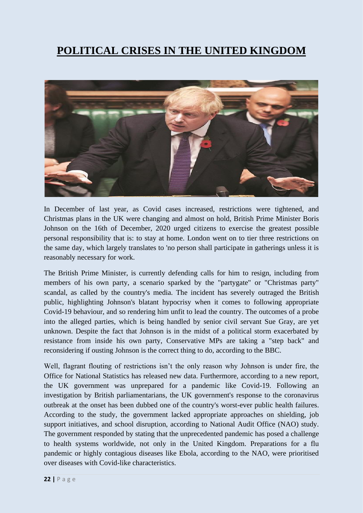# **POLITICAL CRISES IN THE UNITED KINGDOM**



In December of last year, as Covid cases increased, restrictions were tightened, and Christmas plans in the UK were changing and almost on hold, British Prime Minister Boris Johnson on the 16th of December, 2020 urged citizens to exercise the greatest possible personal responsibility that is: to stay at home. London went on to tier three restrictions on the same day, which largely translates to 'no person shall participate in gatherings unless it is reasonably necessary for work.

The British Prime Minister, is currently defending calls for him to resign, including from members of his own party, a scenario sparked by the "partygate" or "Christmas party" scandal, as called by the country's media. The incident has severely outraged the British public, highlighting Johnson's blatant hypocrisy when it comes to following appropriate Covid-19 behaviour, and so rendering him unfit to lead the country. The outcomes of a probe into the alleged parties, which is being handled by senior civil servant Sue Gray, are yet unknown. Despite the fact that Johnson is in the midst of a political storm exacerbated by resistance from inside his own party, Conservative MPs are taking a "step back" and reconsidering if ousting Johnson is the correct thing to do, according to the BBC.

Well, flagrant flouting of restrictions isn't the only reason why Johnson is under fire, the Office for National Statistics has released new data. Furthermore, according to a new report, the UK government was unprepared for a pandemic like Covid-19. Following an investigation by British parliamentarians, the UK government's response to the coronavirus outbreak at the onset has been dubbed one of the country's worst-ever public health failures. According to the study, the government lacked appropriate approaches on shielding, job support initiatives, and school disruption, according to National Audit Office (NAO) study. The government responded by stating that the unprecedented pandemic has posed a challenge to health systems worldwide, not only in the United Kingdom. Preparations for a flu pandemic or highly contagious diseases like Ebola, according to the NAO, were prioritised over diseases with Covid-like characteristics.